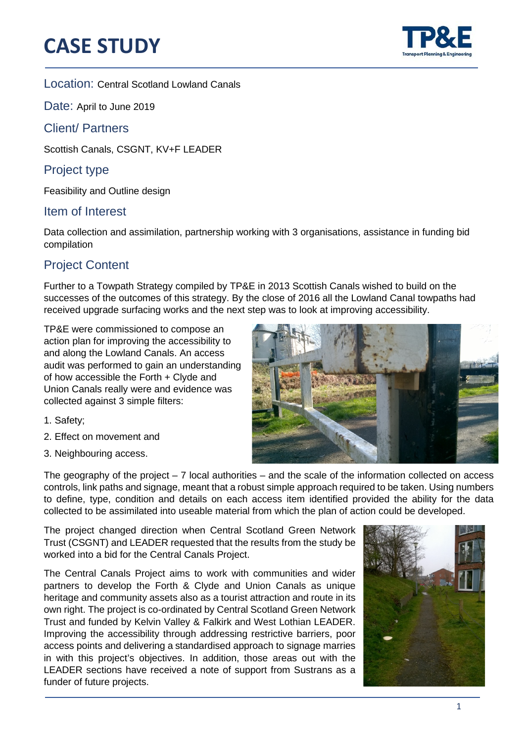# **CASE STUDY**



֦

#### Location: Central Scotland Lowland Canals

Date: April to June 2019

### Client/ Partners

Scottish Canals, CSGNT, KV+F LEADER

## Project type

Feasibility and Outline design

#### Item of Interest

Data collection and assimilation, partnership working with 3 organisations, assistance in funding bid compilation

## Project Content

Further to a Towpath Strategy compiled by TP&E in 2013 Scottish Canals wished to build on the successes of the outcomes of this strategy. By the close of 2016 all the Lowland Canal towpaths had received upgrade surfacing works and the next step was to look at improving accessibility.

TP&E were commissioned to compose an action plan for improving the accessibility to and along the Lowland Canals. An access audit was performed to gain an understanding of how accessible the Forth + Clyde and Union Canals really were and evidence was collected against 3 simple filters:

- 1. Safety;
- 2. Effect on movement and
- 3. Neighbouring access.



The geography of the project  $-7$  local authorities  $-$  and the scale of the information collected on access controls, link paths and signage, meant that a robust simple approach required to be taken. Using numbers to define, type, condition and details on each access item identified provided the ability for the data collected to be assimilated into useable material from which the plan of action could be developed.

The project changed direction when Central Scotland Green Network Trust (CSGNT) and LEADER requested that the results from the study be worked into a bid for the Central Canals Project.

The Central Canals Project aims to work with communities and wider partners to develop the Forth & Clyde and Union Canals as unique heritage and community assets also as a tourist attraction and route in its own right. The project is co-ordinated by Central Scotland Green Network Trust and funded by Kelvin Valley & Falkirk and West Lothian LEADER. Improving the accessibility through addressing restrictive barriers, poor access points and delivering a standardised approach to signage marries in with this project's objectives. In addition, those areas out with the LEADER sections have received a note of support from Sustrans as a funder of future projects.